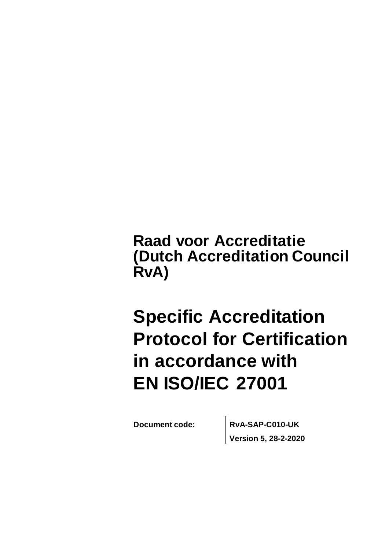**Raad voor Accreditatie (Dutch Accreditation Council RvA)**

# **Specific Accreditation Protocol for Certification in accordance with EN ISO/IEC 27001**

**Document code: RvA-SAP-C010-UK Version 5, 28-2-2020**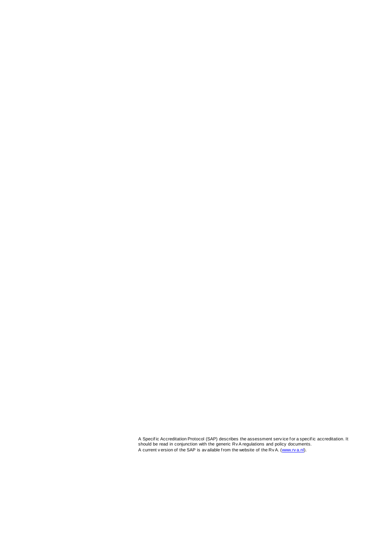A Specific Accreditation Protocol (SAP) describes the assessment service for a specific accreditation. It<br>should be read in conjunction with the generic Rv A regulations and policy documents. A current v ersion of the SAP is av ailable f rom the website of the Rv A. [\(www.rv a.nl\)](http://www.rva.nl/).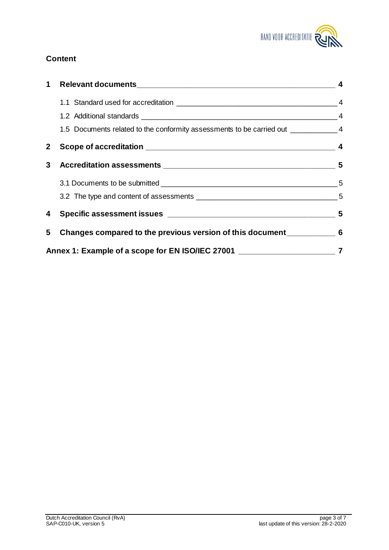

## **Content**

| 1            |                                                                                     |  |  |
|--------------|-------------------------------------------------------------------------------------|--|--|
|              |                                                                                     |  |  |
|              |                                                                                     |  |  |
|              | 1.5 Documents related to the conformity assessments to be carried out ____________4 |  |  |
| $\mathbf{2}$ |                                                                                     |  |  |
|              |                                                                                     |  |  |
|              |                                                                                     |  |  |
|              |                                                                                     |  |  |
|              |                                                                                     |  |  |
|              | 5 Changes compared to the previous version of this document______________________ 6 |  |  |
|              | Annex 1: Example of a scope for EN ISO/IEC 27001 ________________________________7  |  |  |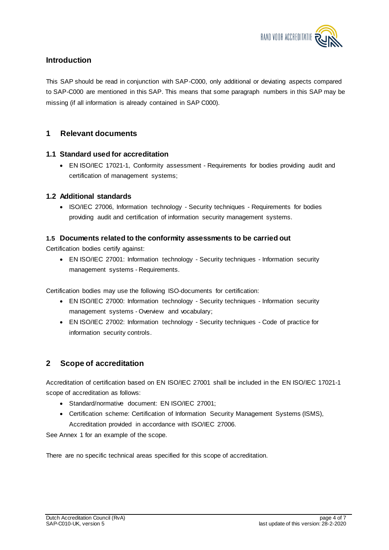

## **Introduction**

This SAP should be read in conjunction with SAP-C000, only additional or deviating aspects compared to SAP-C000 are mentioned in this SAP. This means that some paragraph numbers in this SAP may be missing (if all information is already contained in SAP C000).

## **1 Relevant documents**

#### **1.1 Standard used for accreditation**

 EN ISO/IEC 17021-1, Conformity assessment - Requirements for bodies providing audit and certification of management systems;

#### **1.2 Additional standards**

• ISO/IEC 27006, Information technology - Security techniques - Requirements for bodies providing audit and certification of information security management systems.

#### **1.5 Documents related to the conformity assessments to be carried out**

Certification bodies certify against:

 EN ISO/IEC 27001: Information technology - Security techniques - Information security management systems - Requirements.

Certification bodies may use the following ISO-documents for certification:

- EN ISO/IEC 27000: Information technology Security techniques Information security management systems - Overview and vocabulary;
- EN ISO/IEC 27002: Information technology Security techniques Code of practice for information security controls.

## **2 Scope of accreditation**

Accreditation of certification based on EN ISO/IEC 27001 shall be included in the EN ISO/IEC 17021-1 scope of accreditation as follows:

- Standard/normative document: EN ISO/IEC 27001;
- Certification scheme: Certification of Information Security Management Systems (ISMS), Accreditation provided in accordance with ISO/IEC 27006.

See Annex 1 for an example of the scope.

There are no specific technical areas specified for this scope of accreditation.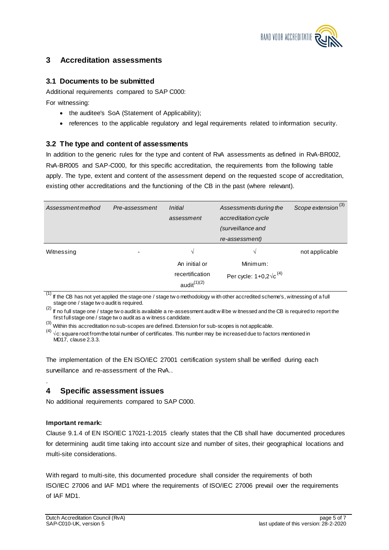

## **3 Accreditation assessments**

#### **3.1 Documents to be submitted**

Additional requirements compared to SAP C000:

For witnessing:

- the auditee's SoA (Statement of Applicability);
- references to the applicable regulatory and legal requirements related to information security.

#### **3.2 The type and content of assessments**

In addition to the generic rules for the type and content of RvA assessments as defined in RvA-BR002, RvA-BR005 and SAP-C000, for this specific accreditation, the requirements from the following table apply. The type, extent and content of the assessment depend on the requested scope of accreditation, existing other accreditations and the functioning of the CB in the past (where relevant).

| Assessmentmethod | Pre-assessment | <i>Initial</i><br>assessment      | Assessments during the<br>accreditation cycle<br>(surveillance and | Scope extension <sup>(3)</sup> |
|------------------|----------------|-----------------------------------|--------------------------------------------------------------------|--------------------------------|
|                  |                |                                   | re-assessment)                                                     |                                |
| Witnessing       | -              | V                                 | V                                                                  | not applicable                 |
|                  |                | An initial or                     | Minimum:                                                           |                                |
|                  |                | recertification<br>audit $(1)(2)$ | Per cycle: $1+0,2\sqrt{c}^{(4)}$                                   |                                |

 $(1)$  If the CB has not yet applied the stage one / stage tw o methodology w ith other accredited scheme's, witnessing of a full stage one / stage tw o audit is required.

<sup>(2)</sup> If no full stage one / stage tw o audit is available a re-assessment audit w ill be w itnessed and the CB is required to report the first full stage one / stage tw o audit as a w itness candidate.

 $(3)$  Within this accreditation no sub-scopes are defined. Extension for sub-scopes is not applicable.

 $^{(4)}$   $\sqrt{c}$ : square root from the total number of certificates. This number may be increased due to factors mentioned in MD17, clause 2.3.3.

The implementation of the EN ISO/IEC 27001 certification system shall be verified during each surveillance and re-assessment of the RvA..

## **4 Specific assessment issues**

No additional requirements compared to SAP C000.

#### **Important remark:**

.

Clause 9.1.4 of EN ISO/IEC 17021-1:2015 clearly states that the CB shall have documented procedures for determining audit time taking into account size and number of sites, their geographical locations and multi-site considerations.

With regard to multi-site, this documented procedure shall consider the requirements of both ISO/IEC 27006 and IAF MD1 where the requirements of ISO/IEC 27006 prevail over the requirements of IAF MD1.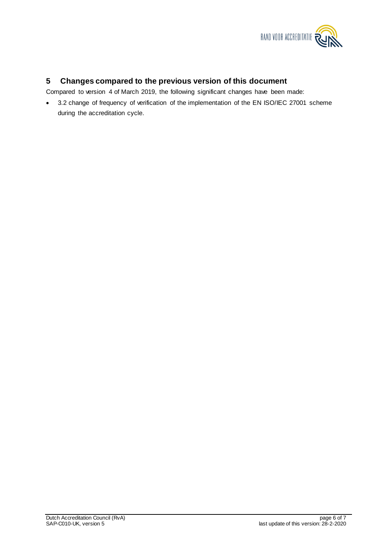

#### **5 Changes compared to the previous version of this document**

Compared to version 4 of March 2019, the following significant changes have been made:

• 3.2 change of frequency of verification of the implementation of the EN ISO/IEC 27001 scheme during the accreditation cycle.